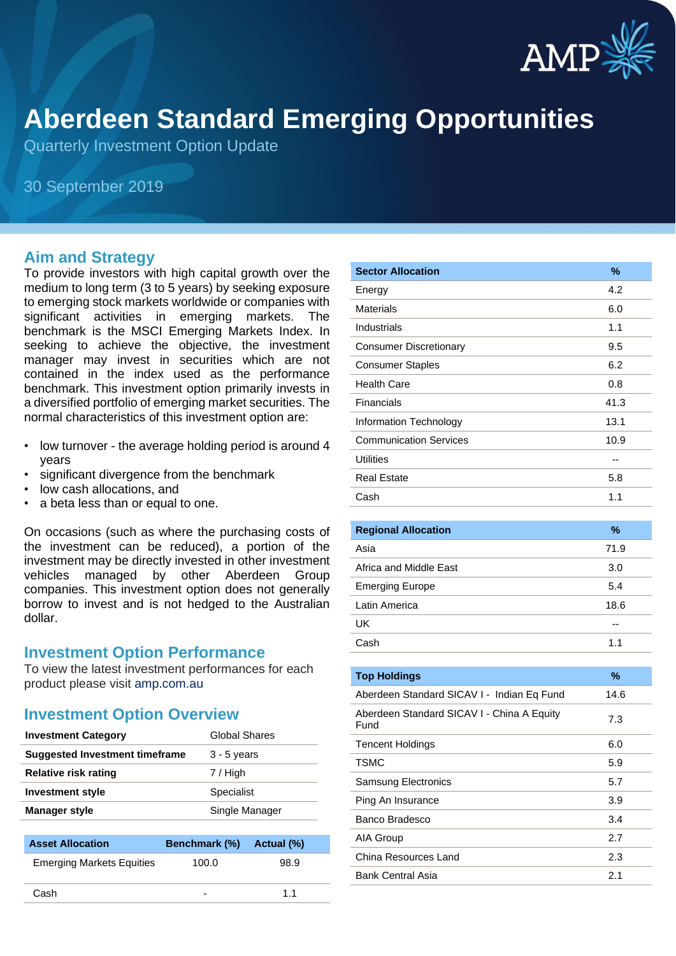

# **Aberdeen Standard Emerging Opportunities**

Quarterly Investment Option Update

30 September 2019

#### **Aim and Strategy**

To provide investors with high capital growth over the medium to long term (3 to 5 years) by seeking exposure to emerging stock markets worldwide or companies with significant activities in emerging markets. The benchmark is the MSCI Emerging Markets Index. In seeking to achieve the objective, the investment manager may invest in securities which are not contained in the index used as the performance benchmark. This investment option primarily invests in a diversified portfolio of emerging market securities. The normal characteristics of this investment option are:

- low turnover the average holding period is around 4 years
- significant divergence from the benchmark
- low cash allocations, and
- a beta less than or equal to one.

On occasions (such as where the purchasing costs of the investment can be reduced), a portion of the investment may be directly invested in other investment vehicles managed by other Aberdeen Group companies. This investment option does not generally borrow to invest and is not hedged to the Australian dollar.

#### **Investment Option Performance**

To view the latest investment performances for each product please visit [amp.com.au](http://www.amp.com.au/)

#### **Investment Option Overview**

| <b>Investment Category</b>     | Global Shares  |
|--------------------------------|----------------|
| Suggested Investment timeframe | $3 - 5$ years  |
| <b>Relative risk rating</b>    | 7 / High       |
| <b>Investment style</b>        | Specialist     |
| Manager style                  | Single Manager |
|                                |                |

| <b>Asset Allocation</b>          | <b>Benchmark (%)</b>     | Actual (%) |
|----------------------------------|--------------------------|------------|
| <b>Emerging Markets Equities</b> | 100.0                    | 98.9       |
| Cash                             | $\overline{\phantom{0}}$ | 11         |

| <b>Sector Allocation</b>      | %    |
|-------------------------------|------|
| Energy                        | 4.2  |
| Materials                     | 6.0  |
| Industrials                   | 1.1  |
| <b>Consumer Discretionary</b> | 9.5  |
| <b>Consumer Staples</b>       | 6.2  |
| <b>Health Care</b>            | 0.8  |
| Financials                    | 41.3 |
| Information Technology        | 13.1 |
| <b>Communication Services</b> | 10.9 |
| <b>Utilities</b>              |      |
| <b>Real Estate</b>            | 5.8  |
| Cash                          | 1.1  |
|                               |      |
| <b>Regional Allocation</b>    | $\%$ |
| Asia                          | 71.9 |
| Africa and Middle East        | 3.0  |
| <b>Emerging Europe</b>        | 5.4  |

| Latin America                                      | 18.6 |
|----------------------------------------------------|------|
| UK                                                 |      |
| Cash                                               | 1.1  |
|                                                    |      |
| <b>Top Holdings</b>                                | ℅    |
| Aberdeen Standard SICAV I - Indian Eq Fund         | 14.6 |
| Aberdeen Standard SICAV I - China A Equity<br>Fund | 7.3  |
| <b>Tencent Holdings</b>                            | 6.0  |
| <b>TSMC</b>                                        | 5.9  |
| <b>Samsung Electronics</b>                         | 5.7  |
| Ping An Insurance                                  | 3.9  |
| Banco Bradesco                                     | 3.4  |

AIA Group 2.7 China Resources Land 2.3 Bank Central Asia 2.1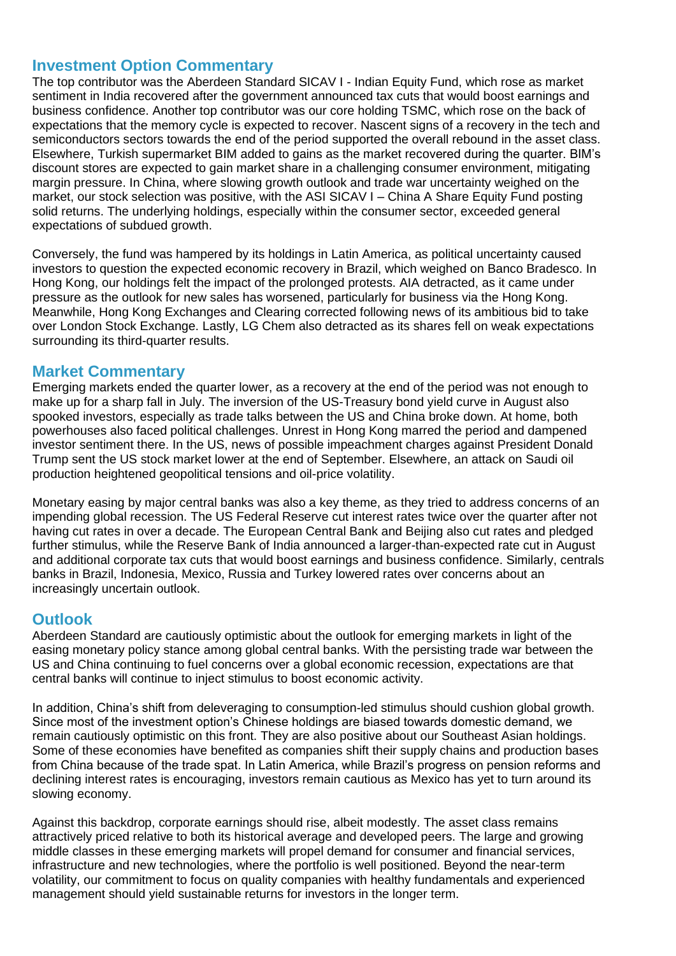### **Investment Option Commentary**

The top contributor was the Aberdeen Standard SICAV I - Indian Equity Fund, which rose as market sentiment in India recovered after the government announced tax cuts that would boost earnings and business confidence. Another top contributor was our core holding TSMC, which rose on the back of expectations that the memory cycle is expected to recover. Nascent signs of a recovery in the tech and semiconductors sectors towards the end of the period supported the overall rebound in the asset class. Elsewhere, Turkish supermarket BIM added to gains as the market recovered during the quarter. BIM's discount stores are expected to gain market share in a challenging consumer environment, mitigating margin pressure. In China, where slowing growth outlook and trade war uncertainty weighed on the market, our stock selection was positive, with the ASI SICAV I – China A Share Equity Fund posting solid returns. The underlying holdings, especially within the consumer sector, exceeded general expectations of subdued growth.

Conversely, the fund was hampered by its holdings in Latin America, as political uncertainty caused investors to question the expected economic recovery in Brazil, which weighed on Banco Bradesco. In Hong Kong, our holdings felt the impact of the prolonged protests. AIA detracted, as it came under pressure as the outlook for new sales has worsened, particularly for business via the Hong Kong. Meanwhile, Hong Kong Exchanges and Clearing corrected following news of its ambitious bid to take over London Stock Exchange. Lastly, LG Chem also detracted as its shares fell on weak expectations surrounding its third-quarter results.

### **Market Commentary**

Emerging markets ended the quarter lower, as a recovery at the end of the period was not enough to make up for a sharp fall in July. The inversion of the US-Treasury bond yield curve in August also spooked investors, especially as trade talks between the US and China broke down. At home, both powerhouses also faced political challenges. Unrest in Hong Kong marred the period and dampened investor sentiment there. In the US, news of possible impeachment charges against President Donald Trump sent the US stock market lower at the end of September. Elsewhere, an attack on Saudi oil production heightened geopolitical tensions and oil-price volatility.

Monetary easing by major central banks was also a key theme, as they tried to address concerns of an impending global recession. The US Federal Reserve cut interest rates twice over the quarter after not having cut rates in over a decade. The European Central Bank and Beijing also cut rates and pledged further stimulus, while the Reserve Bank of India announced a larger-than-expected rate cut in August and additional corporate tax cuts that would boost earnings and business confidence. Similarly, centrals banks in Brazil, Indonesia, Mexico, Russia and Turkey lowered rates over concerns about an increasingly uncertain outlook.

## **Outlook**

Aberdeen Standard are cautiously optimistic about the outlook for emerging markets in light of the easing monetary policy stance among global central banks. With the persisting trade war between the US and China continuing to fuel concerns over a global economic recession, expectations are that central banks will continue to inject stimulus to boost economic activity.

In addition, China's shift from deleveraging to consumption-led stimulus should cushion global growth. Since most of the investment option's Chinese holdings are biased towards domestic demand, we remain cautiously optimistic on this front. They are also positive about our Southeast Asian holdings. Some of these economies have benefited as companies shift their supply chains and production bases from China because of the trade spat. In Latin America, while Brazil's progress on pension reforms and declining interest rates is encouraging, investors remain cautious as Mexico has yet to turn around its slowing economy.

Against this backdrop, corporate earnings should rise, albeit modestly. The asset class remains attractively priced relative to both its historical average and developed peers. The large and growing middle classes in these emerging markets will propel demand for consumer and financial services, infrastructure and new technologies, where the portfolio is well positioned. Beyond the near-term volatility, our commitment to focus on quality companies with healthy fundamentals and experienced management should yield sustainable returns for investors in the longer term.